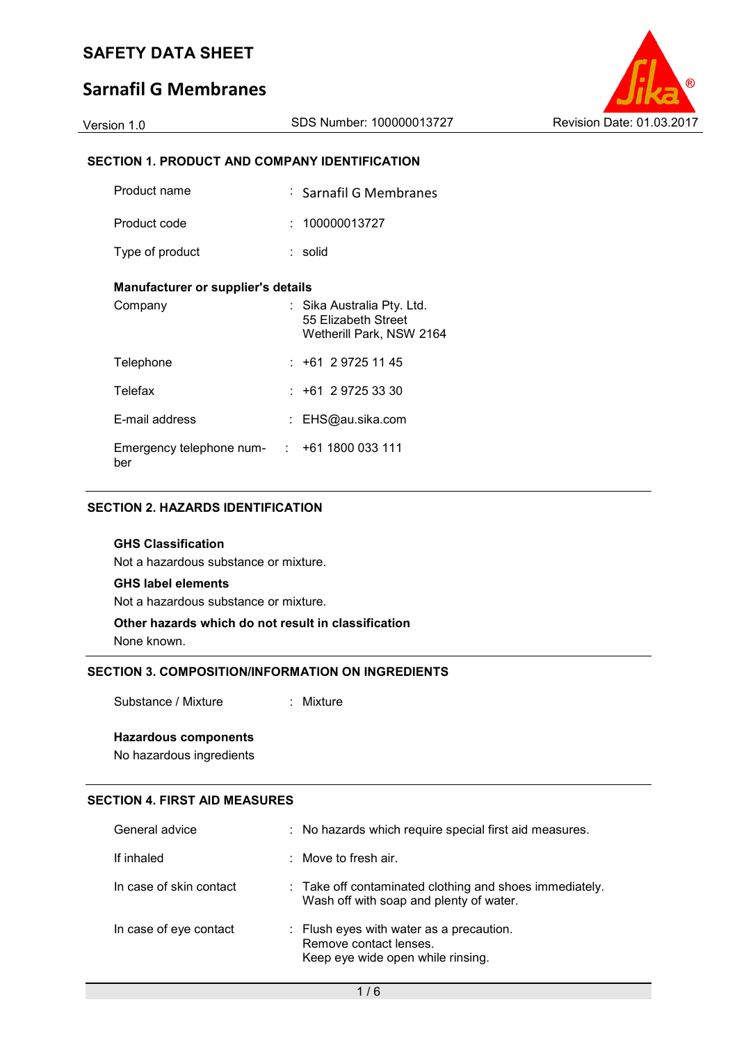## **Sarnafil G Membranes**

### **SECTION 1. PRODUCT AND COMPANY IDENTIFICATION**

| Product name                                                | : Sarnafil G Membranes                                                        |
|-------------------------------------------------------------|-------------------------------------------------------------------------------|
| Product code                                                | : 100000013727                                                                |
| Type of product                                             | : solid                                                                       |
| <b>Manufacturer or supplier's details</b>                   |                                                                               |
| Company                                                     | : Sika Australia Pty. Ltd.<br>55 Elizabeth Street<br>Wetherill Park, NSW 2164 |
| Telephone                                                   | $: +61297251145$                                                              |
| <b>Telefax</b>                                              | $: +61 \ 2 \ 9725 \ 33 \ 30$                                                  |
| E-mail address                                              | : EHS@au.sika.com                                                             |
| Emergency telephone num- $\qquad$ : +61 1800 033 111<br>ber |                                                                               |

### **SECTION 2. HAZARDS IDENTIFICATION**

### **GHS Classification**

Not a hazardous substance or mixture.

#### **GHS label elements**

Not a hazardous substance or mixture.

## **Other hazards which do not result in classification**

None known.

## **SECTION 3. COMPOSITION/INFORMATION ON INGREDIENTS**

Substance / Mixture : Mixture

### **Hazardous components**

No hazardous ingredients

### **SECTION 4. FIRST AID MEASURES**

| General advice          | : No hazards which require special first aid measures.                                                  |
|-------------------------|---------------------------------------------------------------------------------------------------------|
| If inhaled              | $\therefore$ Move to fresh air.                                                                         |
| In case of skin contact | : Take off contaminated clothing and shoes immediately.<br>Wash off with soap and plenty of water.      |
| In case of eye contact  | : Flush eyes with water as a precaution.<br>Remove contact lenses.<br>Keep eye wide open while rinsing. |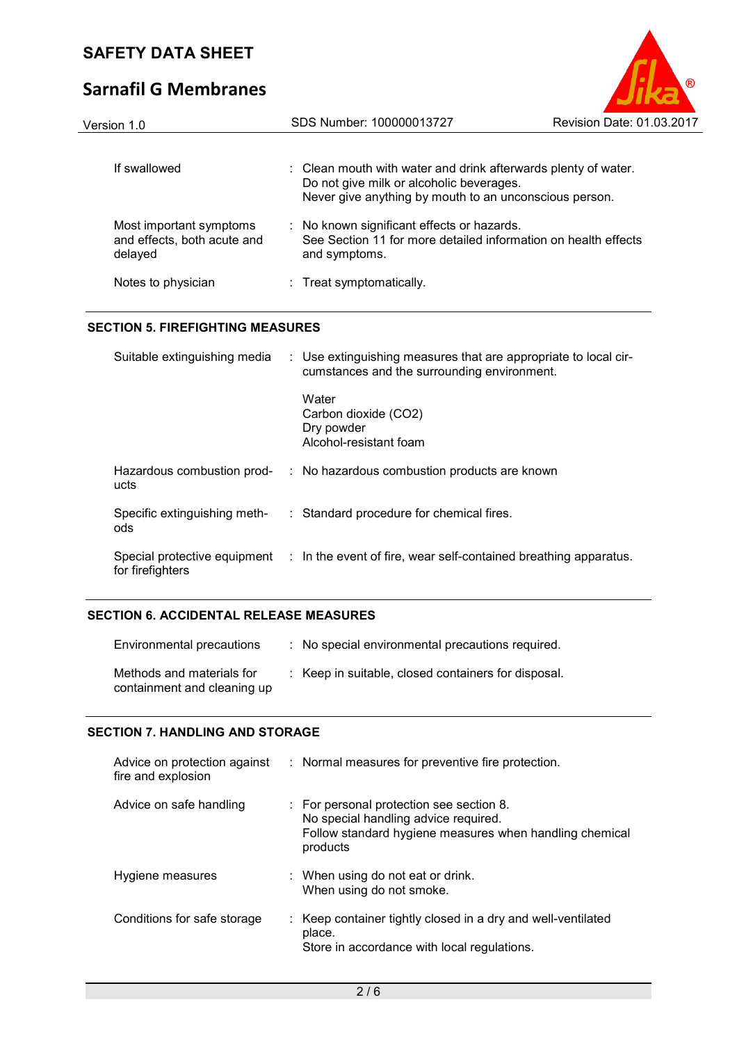# **Sarnafil G Membranes**

| Version 1.0                                                       | SDS Number: 100000013727                                                                                                                                             | Revision Date: 01.03.2017 |
|-------------------------------------------------------------------|----------------------------------------------------------------------------------------------------------------------------------------------------------------------|---------------------------|
|                                                                   |                                                                                                                                                                      |                           |
| If swallowed                                                      | : Clean mouth with water and drink afterwards plenty of water.<br>Do not give milk or alcoholic beverages.<br>Never give anything by mouth to an unconscious person. |                           |
| Most important symptoms<br>and effects, both acute and<br>delayed | : No known significant effects or hazards.<br>See Section 11 for more detailed information on health effects<br>and symptoms.                                        |                           |
| Notes to physician                                                | : Treat symptomatically.                                                                                                                                             |                           |

### **SECTION 5. FIREFIGHTING MEASURES**

| Suitable extinguishing media        | : Use extinguishing measures that are appropriate to local cir-<br>cumstances and the surrounding environment. |
|-------------------------------------|----------------------------------------------------------------------------------------------------------------|
|                                     | Water<br>Carbon dioxide (CO2)<br>Dry powder<br>Alcohol-resistant foam                                          |
| Hazardous combustion prod-<br>ucts  | : No hazardous combustion products are known                                                                   |
| Specific extinguishing meth-<br>ods | : Standard procedure for chemical fires.                                                                       |
| for firefighters                    | Special protective equipment : In the event of fire, wear self-contained breathing apparatus.                  |

### **SECTION 6. ACCIDENTAL RELEASE MEASURES**

| Environmental precautions                                | : No special environmental precautions required.    |
|----------------------------------------------------------|-----------------------------------------------------|
| Methods and materials for<br>containment and cleaning up | : Keep in suitable, closed containers for disposal. |

### **SECTION 7. HANDLING AND STORAGE**

| Advice on protection against<br>fire and explosion | : Normal measures for preventive fire protection.                                                                                                                  |
|----------------------------------------------------|--------------------------------------------------------------------------------------------------------------------------------------------------------------------|
| Advice on safe handling                            | $\therefore$ For personal protection see section 8.<br>No special handling advice required.<br>Follow standard hygiene measures when handling chemical<br>products |
| Hygiene measures                                   | : When using do not eat or drink.<br>When using do not smoke.                                                                                                      |
| Conditions for safe storage                        | : Keep container tightly closed in a dry and well-ventilated<br>place.<br>Store in accordance with local regulations.                                              |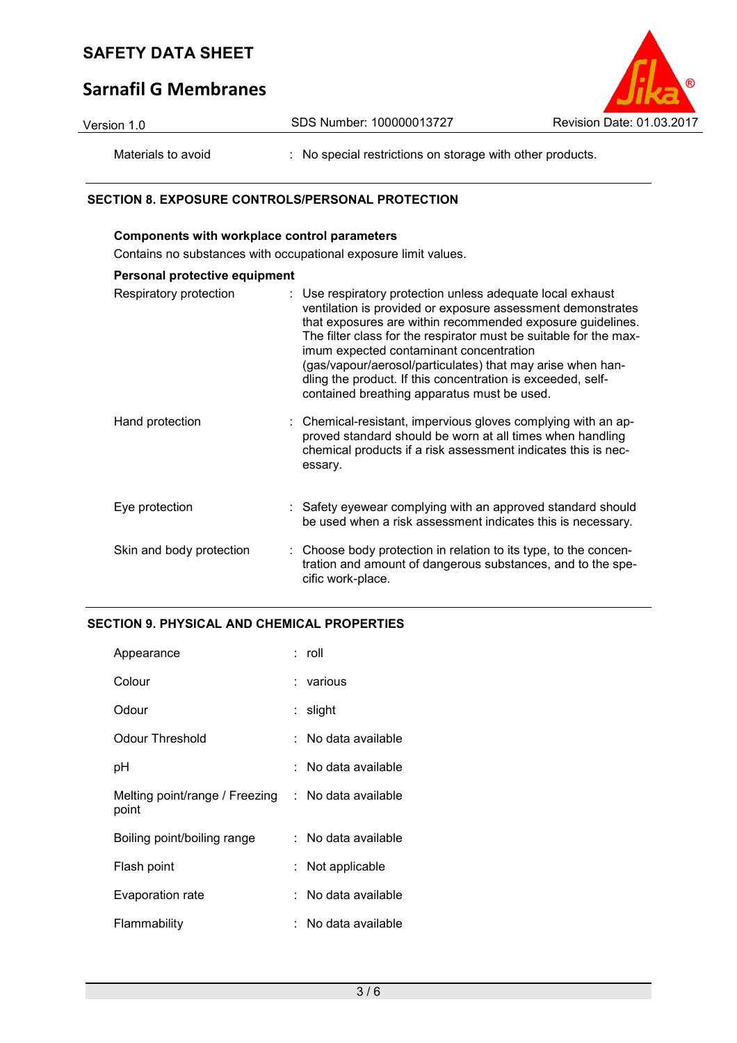# **Sarnafil G Membranes**



| Version 1.0        | SDS Number: 100000013727                                | Revision Date: 01.03.2017 |
|--------------------|---------------------------------------------------------|---------------------------|
| Materials to avoid | No special restrictions on storage with other products. |                           |

### **SECTION 8. EXPOSURE CONTROLS/PERSONAL PROTECTION**

## **Components with workplace control parameters** Contains no substances with occupational exposure limit values. **Personal protective equipment** Respiratory protection : Use respiratory protection unless adequate local exhaust ventilation is provided or exposure assessment demonstrates that exposures are within recommended exposure guidelines. The filter class for the respirator must be suitable for the maximum expected contaminant concentration (gas/vapour/aerosol/particulates) that may arise when handling the product. If this concentration is exceeded, selfcontained breathing apparatus must be used. Hand protection : Chemical-resistant, impervious gloves complying with an approved standard should be worn at all times when handling chemical products if a risk assessment indicates this is necessary. Eye protection : Safety eyewear complying with an approved standard should be used when a risk assessment indicates this is necessary. Skin and body protection : Choose body protection in relation to its type, to the concentration and amount of dangerous substances, and to the specific work-place.

### **SECTION 9. PHYSICAL AND CHEMICAL PROPERTIES**

| Appearance                              | : roll                |
|-----------------------------------------|-----------------------|
| Colour                                  | : various             |
| Odour                                   | : slight              |
| Odour Threshold                         | No data available     |
| рH                                      | ∶ No data available   |
| Melting point/range / Freezing<br>point | : No data available   |
| Boiling point/boiling range             | :   No data available |
| Flash point                             | Not applicable        |
| Evaporation rate                        | No data available     |
| Flammability                            | No data available     |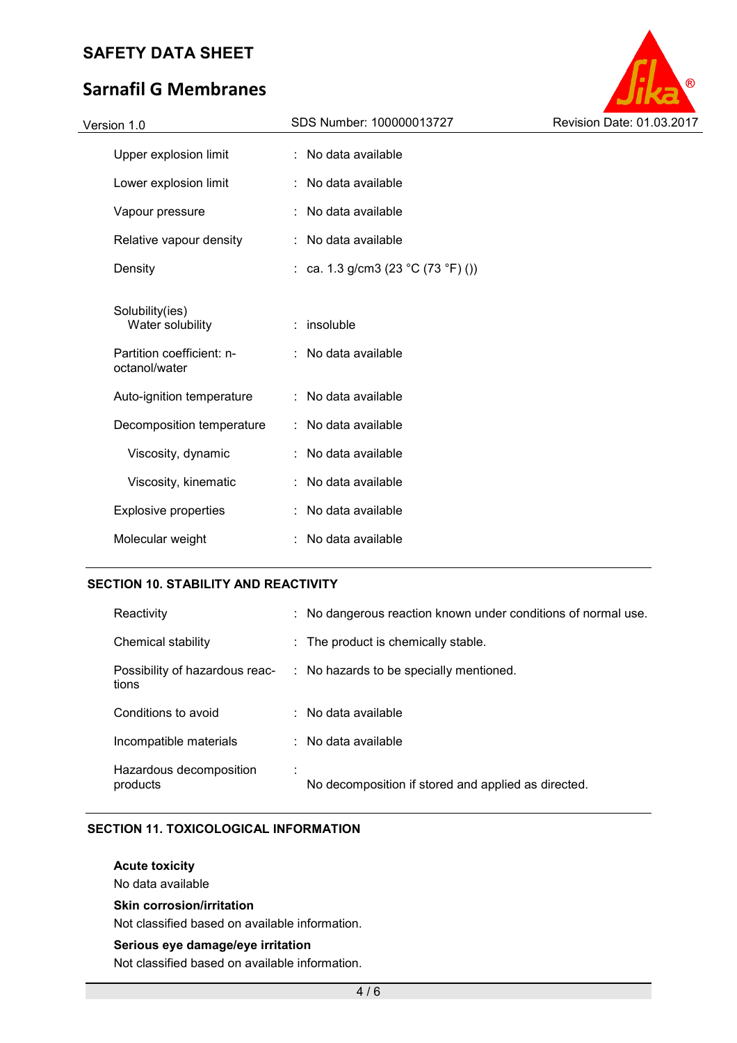# **Sarnafil G Membranes**



### **SECTION 10. STABILITY AND REACTIVITY**

| Reactivity                              | : No dangerous reaction known under conditions of normal use. |
|-----------------------------------------|---------------------------------------------------------------|
| Chemical stability                      | : The product is chemically stable.                           |
| Possibility of hazardous reac-<br>tions | : No hazards to be specially mentioned.                       |
| Conditions to avoid                     | $:$ No data available                                         |
| Incompatible materials                  | $\therefore$ No data available                                |
| Hazardous decomposition<br>products     | No decomposition if stored and applied as directed.           |

### **SECTION 11. TOXICOLOGICAL INFORMATION**

**Acute toxicity** 

No data available

### **Skin corrosion/irritation**

Not classified based on available information.

#### **Serious eye damage/eye irritation**

Not classified based on available information.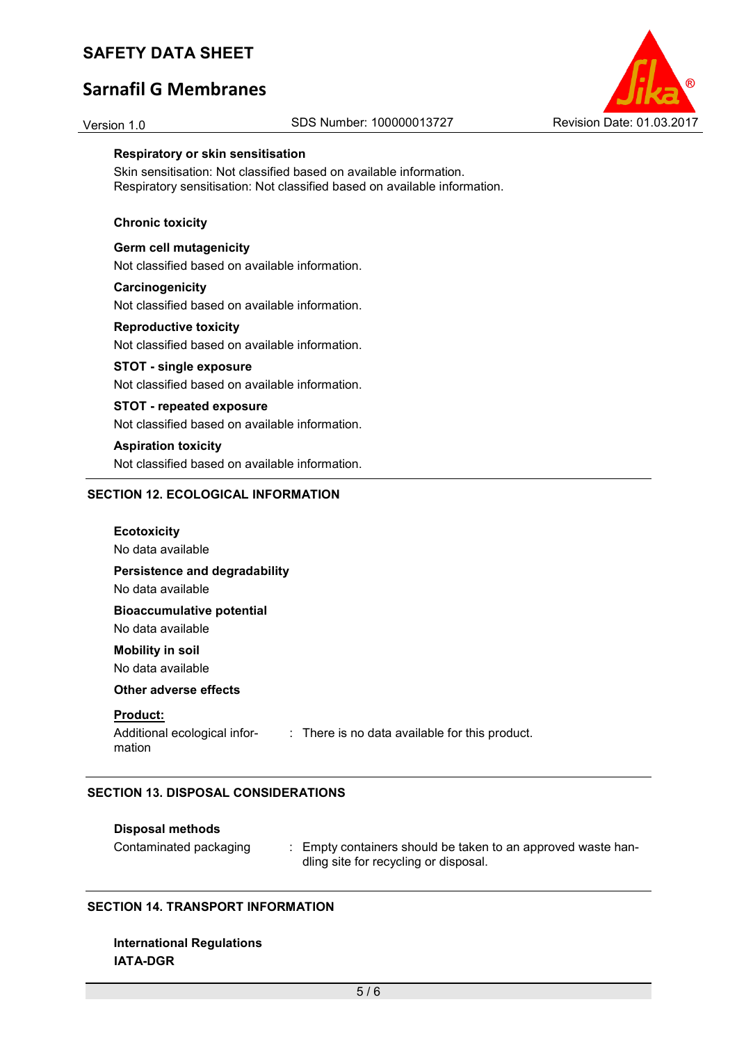# **Sarnafil G Membranes**



#### **Respiratory or skin sensitisation**

Skin sensitisation: Not classified based on available information. Respiratory sensitisation: Not classified based on available information.

#### **Chronic toxicity**

**Germ cell mutagenicity**  Not classified based on available information.

#### **Carcinogenicity**

Not classified based on available information.

#### **Reproductive toxicity**

Not classified based on available information.

#### **STOT - single exposure**

Not classified based on available information.

#### **STOT - repeated exposure**

Not classified based on available information.

#### **Aspiration toxicity**

Not classified based on available information.

#### **SECTION 12. ECOLOGICAL INFORMATION**

| <b>Ecotoxicity</b><br>No data available                   |                                                |
|-----------------------------------------------------------|------------------------------------------------|
| Persistence and degradability<br>No data available        |                                                |
| <b>Bioaccumulative potential</b><br>No data available     |                                                |
| <b>Mobility in soil</b><br>No data available              |                                                |
| Other adverse effects                                     |                                                |
| <b>Product:</b><br>Additional ecological infor-<br>mation | : There is no data available for this product. |

### **SECTION 13. DISPOSAL CONSIDERATIONS**

### **Disposal methods**

Contaminated packaging : Empty containers should be taken to an approved waste handling site for recycling or disposal.

### **SECTION 14. TRANSPORT INFORMATION**

**International Regulations IATA-DGR**